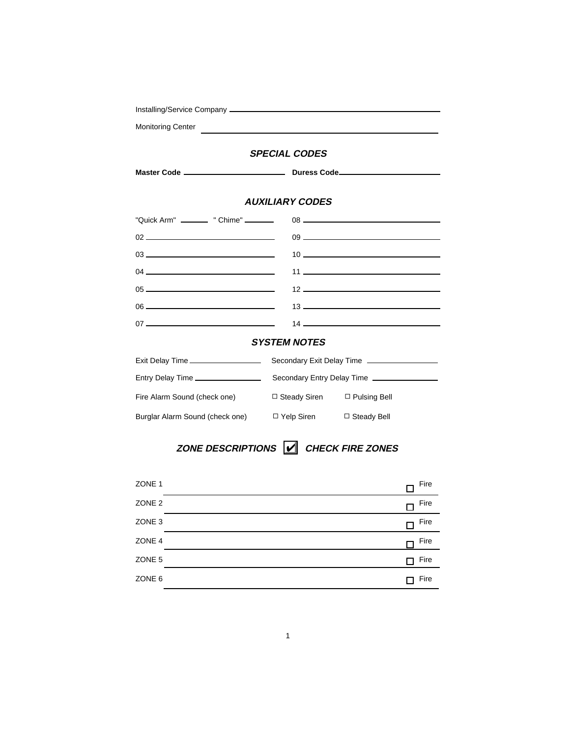| <b>Monitoring Center</b>                                                                                                                                                                                                                                                                                                                                                                                                                                               | <u> 1989 - Andrea Station Barbara (b. 1989)</u> |                                               |  |  |
|------------------------------------------------------------------------------------------------------------------------------------------------------------------------------------------------------------------------------------------------------------------------------------------------------------------------------------------------------------------------------------------------------------------------------------------------------------------------|-------------------------------------------------|-----------------------------------------------|--|--|
| <b>SPECIAL CODES</b>                                                                                                                                                                                                                                                                                                                                                                                                                                                   |                                                 |                                               |  |  |
|                                                                                                                                                                                                                                                                                                                                                                                                                                                                        |                                                 |                                               |  |  |
| <b>AUXILIARY CODES</b>                                                                                                                                                                                                                                                                                                                                                                                                                                                 |                                                 |                                               |  |  |
| "Quick Arm" __________ " Chime" ________                                                                                                                                                                                                                                                                                                                                                                                                                               |                                                 |                                               |  |  |
| $\begin{array}{c} 02 \end{array}$                                                                                                                                                                                                                                                                                                                                                                                                                                      |                                                 |                                               |  |  |
| $03$ $\overline{\phantom{a}}$                                                                                                                                                                                                                                                                                                                                                                                                                                          |                                                 |                                               |  |  |
|                                                                                                                                                                                                                                                                                                                                                                                                                                                                        |                                                 |                                               |  |  |
| $05$ $\overline{\phantom{a}}$ $\overline{\phantom{a}}$ $\overline{\phantom{a}}$ $\overline{\phantom{a}}$ $\overline{\phantom{a}}$ $\overline{\phantom{a}}$ $\overline{\phantom{a}}$ $\overline{\phantom{a}}$ $\overline{\phantom{a}}$ $\overline{\phantom{a}}$ $\overline{\phantom{a}}$ $\overline{\phantom{a}}$ $\overline{\phantom{a}}$ $\overline{\phantom{a}}$ $\overline{\phantom{a}}$ $\overline{\phantom{a}}$ $\overline{\phantom{a}}$ $\overline{\phantom{a}}$ |                                                 |                                               |  |  |
|                                                                                                                                                                                                                                                                                                                                                                                                                                                                        |                                                 | $13 \overline{\phantom{1}}$                   |  |  |
|                                                                                                                                                                                                                                                                                                                                                                                                                                                                        |                                                 | $14 \overline{ }$                             |  |  |
| <b>SYSTEM NOTES</b>                                                                                                                                                                                                                                                                                                                                                                                                                                                    |                                                 |                                               |  |  |
| Exit Delay Time ____________________                                                                                                                                                                                                                                                                                                                                                                                                                                   |                                                 | Secondary Exit Delay Time ___________________ |  |  |
| Entry Delay Time __________________                                                                                                                                                                                                                                                                                                                                                                                                                                    | Secondary Entry Delay Time __________________   |                                               |  |  |
| Fire Alarm Sound (check one)                                                                                                                                                                                                                                                                                                                                                                                                                                           | $\Box$ Steady Siren $\Box$ Pulsing Bell         |                                               |  |  |
| Burglar Alarm Sound (check one) $\Box$ Yelp Siren                                                                                                                                                                                                                                                                                                                                                                                                                      |                                                 | $\Box$ Steady Bell                            |  |  |

# ZONE DESCRIPTIONS **CHECK FIRE ZONES**

| ZONE 1            | Fire |  |
|-------------------|------|--|
| ZONE <sub>2</sub> | Fire |  |
| ZONE <sub>3</sub> | Fire |  |
| ZONE 4            | Fire |  |
| ZONE 5            | Fire |  |
| ZONE 6            | Fire |  |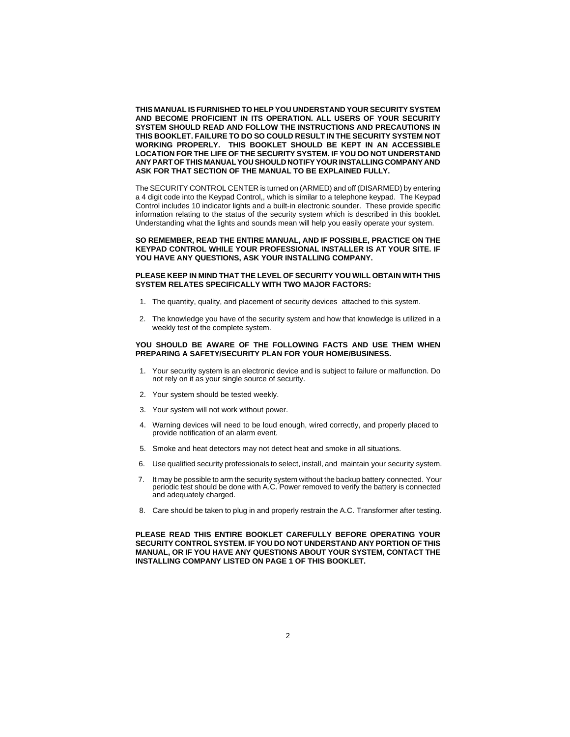**THIS MANUAL IS FURNISHED TO HELP YOU UNDERSTAND YOUR SECURITY SYSTEM AND BECOME PROFICIENT IN ITS OPERATION. ALL USERS OF YOUR SECURITY SYSTEM SHOULD READ AND FOLLOW THE INSTRUCTIONS AND PRECAUTIONS IN THIS BOOKLET. FAILURE TO DO SO COULD RESULT IN THE SECURITY SYSTEM NOT WORKING PROPERLY. THIS BOOKLET SHOULD BE KEPT IN AN ACCESSIBLE LOCATION FOR THE LIFE OF THE SECURITY SYSTEM. IF YOU DO NOT UNDERSTAND ANY PART OF THIS MANUAL YOU SHOULD NOTIFY YOUR INSTALLING COMPANY AND ASK FOR THAT SECTION OF THE MANUAL TO BE EXPLAINED FULLY.**

The SECURITY CONTROL CENTER is turned on (ARMED) and off (DISARMED) by entering a 4 digit code into the Keypad Control,, which is similar to a telephone keypad. The Keypad Control includes 10 indicator lights and a built-in electronic sounder. These provide specific information relating to the status of the security system which is described in this booklet. Understanding what the lights and sounds mean will help you easily operate your system.

**SO REMEMBER, READ THE ENTIRE MANUAL, AND IF POSSIBLE, PRACTICE ON THE KEYPAD CONTROL WHILE YOUR PROFESSIONAL INSTALLER IS AT YOUR SITE. IF YOU HAVE ANY QUESTIONS, ASK YOUR INSTALLING COMPANY.**

#### **PLEASE KEEP IN MIND THAT THE LEVEL OF SECURITY YOU WILL OBTAIN WITH THIS SYSTEM RELATES SPECIFICALLY WITH TWO MAJOR FACTORS:**

- 1. The quantity, quality, and placement of security devices attached to this system.
- 2. The knowledge you have of the security system and how that knowledge is utilized in a weekly test of the complete system.

#### **YOU SHOULD BE AWARE OF THE FOLLOWING FACTS AND USE THEM WHEN PREPARING A SAFETY/SECURITY PLAN FOR YOUR HOME/BUSINESS.**

- 1. Your security system is an electronic device and is subject to failure or malfunction. Do not rely on it as your single source of security.
- 2. Your system should be tested weekly.
- 3. Your system will not work without power.
- 4. Warning devices will need to be loud enough, wired correctly, and properly placed to provide notification of an alarm event.
- 5. Smoke and heat detectors may not detect heat and smoke in all situations.
- 6. Use qualified security professionals to select, install, and maintain your security system.
- 7. It may be possible to arm the security system without the backup battery connected. Your periodic test should be done with A.C. Power removed to verify the battery is connected and adequately charged.
- 8. Care should be taken to plug in and properly restrain the A.C. Transformer after testing.

**PLEASE READ THIS ENTIRE BOOKLET CAREFULLY BEFORE OPERATING YOUR SECURITY CONTROL SYSTEM. IF YOU DO NOT UNDERSTAND ANY PORTION OF THIS MANUAL, OR IF YOU HAVE ANY QUESTIONS ABOUT YOUR SYSTEM, CONTACT THE INSTALLING COMPANY LISTED ON PAGE 1 OF THIS BOOKLET.**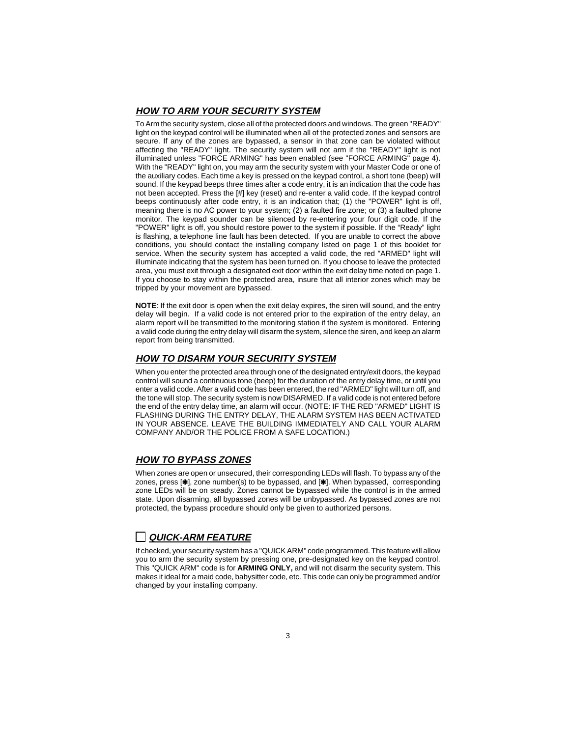#### **HOW TO ARM YOUR SECURITY SYSTEM**

To Arm the security system, close all of the protected doors and windows. The green "READY" light on the keypad control will be illuminated when all of the protected zones and sensors are secure. If any of the zones are bypassed, a sensor in that zone can be violated without affecting the "READY" light. The security system will not arm if the "READY" light is not illuminated unless "FORCE ARMING" has been enabled (see "FORCE ARMING" page 4). With the "READY" light on, you may arm the security system with your Master Code or one of the auxiliary codes. Each time a key is pressed on the keypad control, a short tone (beep) will sound. If the keypad beeps three times after a code entry, it is an indication that the code has not been accepted. Press the [#] key (reset) and re-enter a valid code. If the keypad control beeps continuously after code entry, it is an indication that; (1) the "POWER" light is off, meaning there is no AC power to your system; (2) a faulted fire zone; or (3) a faulted phone monitor. The keypad sounder can be silenced by re-entering your four digit code. If the "POWER" light is off, you should restore power to the system if possible. If the "Ready" light is flashing, a telephone line fault has been detected. If you are unable to correct the above conditions, you should contact the installing company listed on page 1 of this booklet for service. When the security system has accepted a valid code, the red "ARMED" light will illuminate indicating that the system has been turned on. If you choose to leave the protected area, you must exit through a designated exit door within the exit delay time noted on page 1. If you choose to stay within the protected area, insure that all interior zones which may be tripped by your movement are bypassed.

**NOTE**: If the exit door is open when the exit delay expires, the siren will sound, and the entry delay will begin. If a valid code is not entered prior to the expiration of the entry delay, an alarm report will be transmitted to the monitoring station if the system is monitored. Entering a valid code during the entry delay will disarm the system, silence the siren, and keep an alarm report from being transmitted.

#### **HOW TO DISARM YOUR SECURITY SYSTEM**

When you enter the protected area through one of the designated entry/exit doors, the keypad control will sound a continuous tone (beep) for the duration of the entry delay time, or until you enter a valid code. After a valid code has been entered, the red "ARMED" light will turn off, and the tone will stop. The security system is now DISARMED. If a valid code is not entered before the end of the entry delay time, an alarm will occur. (NOTE: IF THE RED "ARMED" LIGHT IS FLASHING DURING THE ENTRY DELAY, THE ALARM SYSTEM HAS BEEN ACTIVATED IN YOUR ABSENCE. LEAVE THE BUILDING IMMEDIATELY AND CALL YOUR ALARM COMPANY AND/OR THE POLICE FROM A SAFE LOCATION.)

#### **HOW TO BYPASS ZONES**

When zones are open or unsecured, their corresponding LEDs will flash. To bypass any of the zones, press  $[\ast]$ , zone number(s) to be bypassed, and  $[\ast]$ . When bypassed, corresponding zone LEDs will be on steady. Zones cannot be bypassed while the control is in the armed state. Upon disarming, all bypassed zones will be unbypassed. As bypassed zones are not protected, the bypass procedure should only be given to authorized persons.

## **QUICK-ARM FEATURE**

If checked, your security system has a "QUICK ARM" code programmed. This feature will allow you to arm the security system by pressing one, pre-designated key on the keypad control. This "QUICK ARM" code is for **ARMING ONLY,** and will not disarm the security system. This makes it ideal for a maid code, babysitter code, etc. This code can only be programmed and/or changed by your installing company.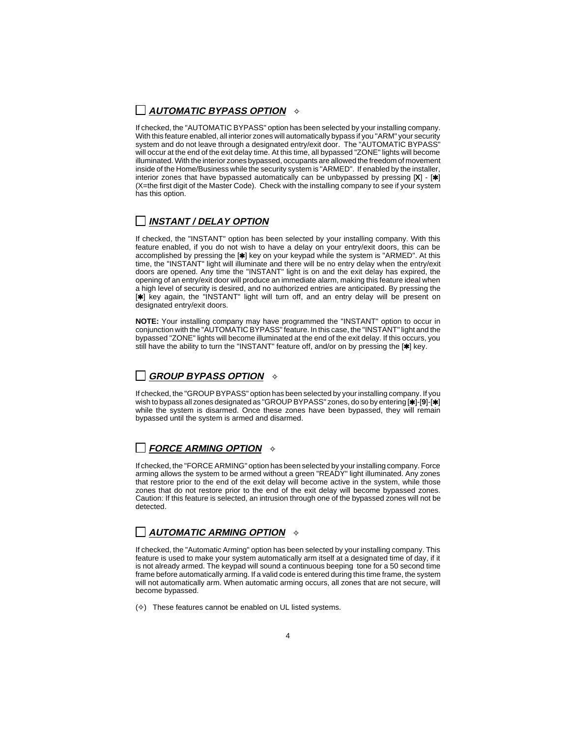## **AUTOMATIC BYPASS OPTION**  $\rightarrow$

If checked, the "AUTOMATIC BYPASS" option has been selected by your installing company. With this feature enabled, all interior zones will automatically bypass if you "ARM" your security system and do not leave through a designated entry/exit door. The "AUTOMATIC BYPASS" will occur at the end of the exit delay time. At this time, all bypassed "ZONE" lights will become illuminated. With the interior zones bypassed, occupants are allowed the freedom of movement inside of the Home/Business while the security system is "ARMED". If enabled by the installer, interior zones that have bypassed automatically can be unbypassed by pressing  $[X]$  -  $[!]$ (X=the first digit of the Master Code). Check with the installing company to see if your system has this option.

## **INSTANT / DELAY OPTION**

If checked, the "INSTANT" option has been selected by your installing company. With this feature enabled, if you do not wish to have a delay on your entry/exit doors, this can be accomplished by pressing the [\*] key on your keypad while the system is "ARMED". At this time, the "INSTANT" light will illuminate and there will be no entry delay when the entry/exit doors are opened. Any time the "INSTANT" light is on and the exit delay has expired, the opening of an entry/exit door will produce an immediate alarm, making this feature ideal when a high level of security is desired, and no authorized entries are anticipated. By pressing the  $[\ast]$  key again, the "INSTANT" light will turn off, and an entry delay will be present on designated entry/exit doors.

**NOTE:** Your installing company may have programmed the "INSTANT" option to occur in conjunction with the "AUTOMATIC BYPASS" feature. In this case, the "INSTANT" light and the bypassed "ZONE" lights will become illuminated at the end of the exit delay. If this occurs, you still have the ability to turn the "INSTANT" feature off, and/or on by pressing the  $[\ast]$  key.

## **GROUP BYPASS OPTION**  $\rightarrow$

If checked, the "GROUP BYPASS" option has been selected by your installing company. If you wish to bypass all zones designated as "GROUP BYPASS" zones, do so by entering [\*]-[9]-[\*] while the system is disarmed. Once these zones have been bypassed, they will remain bypassed until the system is armed and disarmed.

## **FORCE ARMING OPTION**  $\rightarrow$

If checked, the "FORCE ARMING" option has been selected by your installing company. Force arming allows the system to be armed without a green "READY" light illuminated. Any zones that restore prior to the end of the exit delay will become active in the system, while those zones that do not restore prior to the end of the exit delay will become bypassed zones. Caution: If this feature is selected, an intrusion through one of the bypassed zones will not be detected.

## **AUTOMATIC ARMING OPTION**  $\Diamond$

If checked, the "Automatic Arming" option has been selected by your installing company. This feature is used to make your system automatically arm itself at a designated time of day, if it is not already armed. The keypad will sound a continuous beeping tone for a 50 second time frame before automatically arming. If a valid code is entered during this time frame, the system will not automatically arm. When automatic arming occurs, all zones that are not secure, will become bypassed.

 $(\diamond)$  These features cannot be enabled on UL listed systems.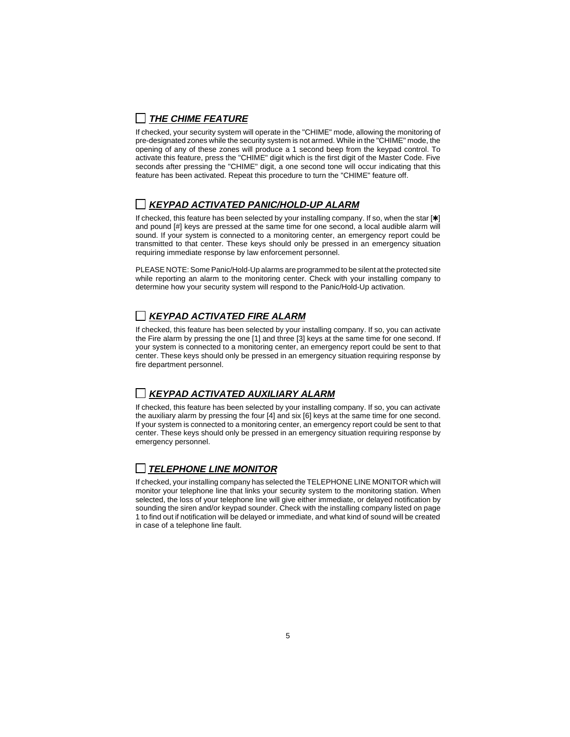# **THE CHIME FEATURE**

If checked, your security system will operate in the "CHIME" mode, allowing the monitoring of pre-designated zones while the security system is not armed. While in the "CHIME" mode, the opening of any of these zones will produce a 1 second beep from the keypad control. To activate this feature, press the "CHIME" digit which is the first digit of the Master Code. Five seconds after pressing the "CHIME" digit, a one second tone will occur indicating that this feature has been activated. Repeat this procedure to turn the "CHIME" feature off.

## **KEYPAD ACTIVATED PANIC/HOLD-UP ALARM**

If checked, this feature has been selected by your installing company. If so, when the star  $[\ast]$ and pound [#] keys are pressed at the same time for one second, a local audible alarm will sound. If your system is connected to a monitoring center, an emergency report could be transmitted to that center. These keys should only be pressed in an emergency situation requiring immediate response by law enforcement personnel.

PLEASE NOTE: Some Panic/Hold-Up alarms are programmed to be silent at the protected site while reporting an alarm to the monitoring center. Check with your installing company to determine how your security system will respond to the Panic/Hold-Up activation.

# **KEYPAD ACTIVATED FIRE ALARM**

If checked, this feature has been selected by your installing company. If so, you can activate the Fire alarm by pressing the one [1] and three [3] keys at the same time for one second. If your system is connected to a monitoring center, an emergency report could be sent to that center. These keys should only be pressed in an emergency situation requiring response by fire department personnel.

## **KEYPAD ACTIVATED AUXILIARY ALARM**

If checked, this feature has been selected by your installing company. If so, you can activate the auxiliary alarm by pressing the four [4] and six [6] keys at the same time for one second. If your system is connected to a monitoring center, an emergency report could be sent to that center. These keys should only be pressed in an emergency situation requiring response by emergency personnel.

# **TELEPHONE LINE MONITOR**

If checked, your installing company has selected the TELEPHONE LINE MONITOR which will monitor your telephone line that links your security system to the monitoring station. When selected, the loss of your telephone line will give either immediate, or delayed notification by sounding the siren and/or keypad sounder. Check with the installing company listed on page 1 to find out if notification will be delayed or immediate, and what kind of sound will be created in case of a telephone line fault.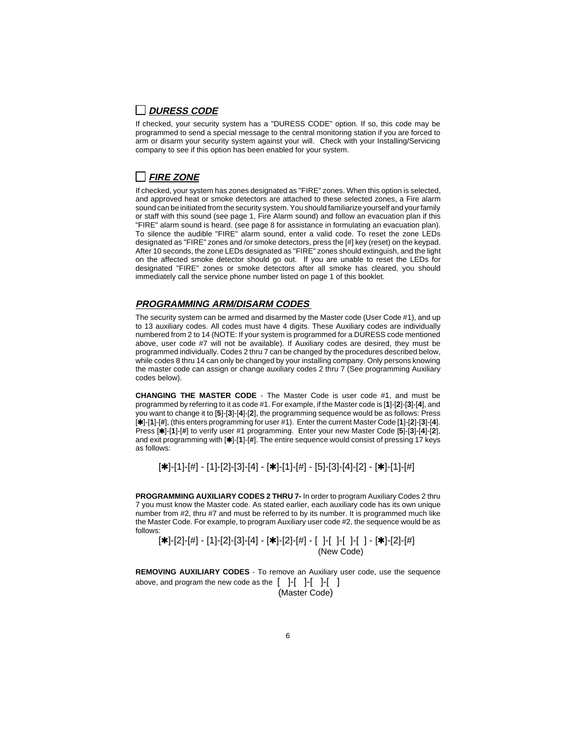## **DURESS CODE**

If checked, your security system has a "DURESS CODE" option. If so, this code may be programmed to send a special message to the central monitoring station if you are forced to arm or disarm your security system against your will. Check with your Installing/Servicing company to see if this option has been enabled for your system.

## **FIRE ZONE**

If checked, your system has zones designated as "FIRE" zones. When this option is selected, and approved heat or smoke detectors are attached to these selected zones, a Fire alarm sound can be initiated from the security system. You should familiarize yourself and your family or staff with this sound (see page 1, Fire Alarm sound) and follow an evacuation plan if this "FIRE" alarm sound is heard. (see page 8 for assistance in formulating an evacuation plan). To silence the audible "FIRE" alarm sound, enter a valid code. To reset the zone LEDs designated as "FIRE" zones and /or smoke detectors, press the [#] key (reset) on the keypad. After 10 seconds, the zone LEDs designated as "FIRE" zones should extinguish, and the light on the affected smoke detector should go out. If you are unable to reset the LEDs for designated "FIRE" zones or smoke detectors after all smoke has cleared, you should immediately call the service phone number listed on page 1 of this booklet.

### **PROGRAMMING ARM/DISARM CODES**

The security system can be armed and disarmed by the Master code (User Code #1), and up to 13 auxiliary codes. All codes must have 4 digits. These Auxiliary codes are individually numbered from 2 to 14 (NOTE: If your system is programmed for a DURESS code mentioned above, user code #7 will not be available). If Auxiliary codes are desired, they must be programmed individually. Codes 2 thru 7 can be changed by the procedures described below, while codes 8 thru 14 can only be changed by your installing company. Only persons knowing the master code can assign or change auxiliary codes 2 thru 7 (See programming Auxiliary codes below).

**CHANGING THE MASTER CODE** - The Master Code is user code #1, and must be programmed by referring to it as code #1. For example, if the Master code is [**1**]-[**2**]-[**3**]-[**4**], and you want to change it to [**5**]-[**3**]-[**4**]-[**2**], the programming sequence would be as follows: Press [U]-[**1**]-[**#**], (this enters programming for user #1). Enter the current Master Code [**1**]-[**2**]-[**3**]-[**4**]. Press [U]-[**1**]-[**#**] to verify user #1 programming. Enter your new Master Code [**5**]-[**3**]-[**4**]-[**2**], and exit programming with  $[\ast]$ -[1]- $[\sharp]$ . The entire sequence would consist of pressing 17 keys as follows:

 $[\n******]-[1]-[\n**#**] - [1]-[2]-[3]-[4] - [\n******]-[1]-[\n**#**] - [5]-[3]-[4]-[2] - [\n******]-[1]-[\n**#**]$ 

**PROGRAMMING AUXILIARY CODES 2 THRU 7-** In order to program Auxiliary Codes 2 thru 7 you must know the Master code. As stated earlier, each auxiliary code has its own unique number from #2, thru #7 and must be referred to by its number. It is programmed much like the Master Code. For example, to program Auxiliary user code #2, the sequence would be as follows:

 $[\cdot \star]$ -[2]-[#] - [1]-[2]-[3]-[4] - [ $\star$ ]-[2]-[#] - [ ]-[ ]-[ ]-[ ] - [ $\star$ ]-[2]-[#] (New Code)

**REMOVING AUXILIARY CODES** - To remove an Auxiliary user code, use the sequence above, and program the new code as the  $[$  ]- $[$  ]- $[$  ]- $[$  ] (Master Code)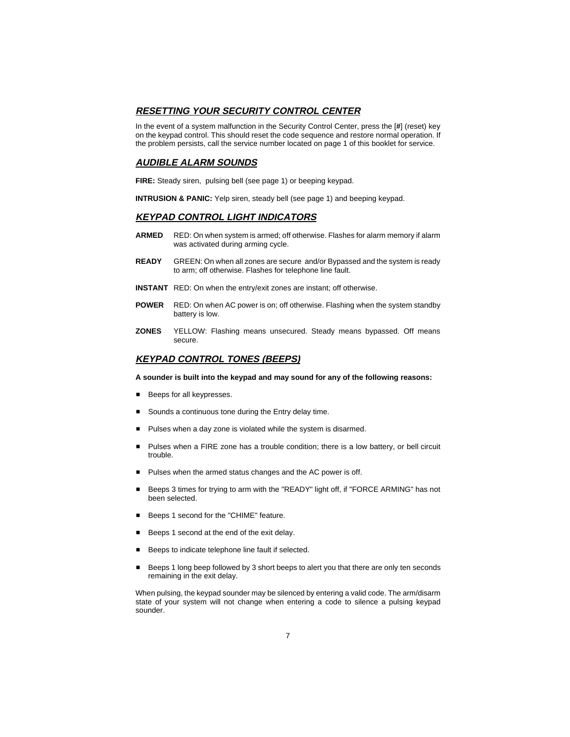#### **RESETTING YOUR SECURITY CONTROL CENTER**

In the event of a system malfunction in the Security Control Center, press the [**#**] (reset) key on the keypad control. This should reset the code sequence and restore normal operation. If the problem persists, call the service number located on page 1 of this booklet for service.

#### **AUDIBLE ALARM SOUNDS**

**FIRE:** Steady siren, pulsing bell (see page 1) or beeping keypad.

**INTRUSION & PANIC:** Yelp siren, steady bell (see page 1) and beeping keypad.

#### **KEYPAD CONTROL LIGHT INDICATORS**

- **ARMED** RED: On when system is armed; off otherwise. Flashes for alarm memory if alarm was activated during arming cycle.
- **READY** GREEN: On when all zones are secure and/or Bypassed and the system is ready to arm; off otherwise. Flashes for telephone line fault.
- **INSTANT** RED: On when the entry/exit zones are instant; off otherwise.
- **POWER** RED: On when AC power is on; off otherwise. Flashing when the system standby battery is low.
- **ZONES** YELLOW: Flashing means unsecured. Steady means bypassed. Off means secure.

#### **KEYPAD CONTROL TONES (BEEPS)**

#### **A sounder is built into the keypad and may sound for any of the following reasons:**

- **Beeps for all keypresses.**
- Sounds a continuous tone during the Entry delay time.
- **Pulses when a day zone is violated while the system is disarmed.**
- **Pulses when a FIRE zone has a trouble condition; there is a low battery, or bell circuit** trouble.
- Pulses when the armed status changes and the AC power is off.
- Beeps 3 times for trying to arm with the "READY" light off, if "FORCE ARMING" has not been selected.
- Beeps 1 second for the "CHIME" feature.
- Beeps 1 second at the end of the exit delay.
- Beeps to indicate telephone line fault if selected.
- Beeps 1 long beep followed by 3 short beeps to alert you that there are only ten seconds remaining in the exit delay.

When pulsing, the keypad sounder may be silenced by entering a valid code. The arm/disarm state of your system will not change when entering a code to silence a pulsing keypad sounder.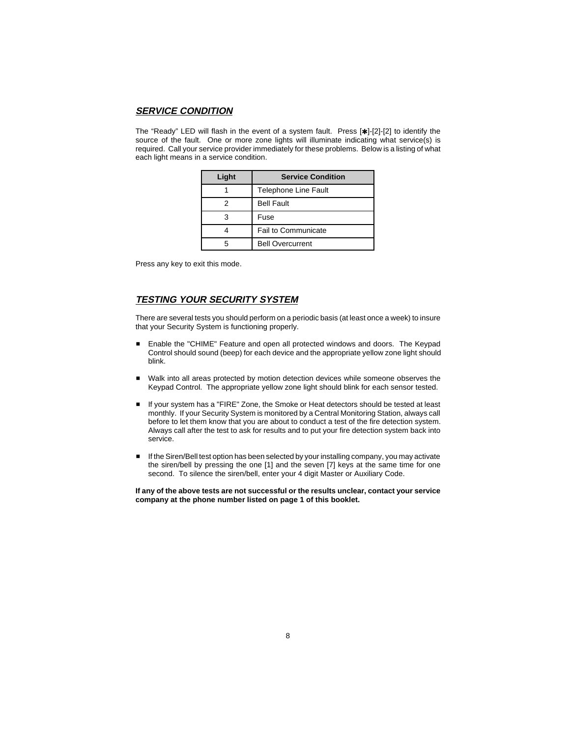#### **SERVICE CONDITION**

The "Ready" LED will flash in the event of a system fault. Press  $[\ast]$ -[2]-[2] to identify the source of the fault. One or more zone lights will illuminate indicating what service(s) is required. Call your service provider immediately for these problems. Below is a listing of what each light means in a service condition.

| Light | <b>Service Condition</b>    |
|-------|-----------------------------|
|       | <b>Telephone Line Fault</b> |
| 2     | <b>Bell Fault</b>           |
| 3     | Fuse                        |
|       | <b>Fail to Communicate</b>  |
| 5     | <b>Bell Overcurrent</b>     |

Press any key to exit this mode.

#### **TESTING YOUR SECURITY SYSTEM**

There are several tests you should perform on a periodic basis (at least once a week) to insure that your Security System is functioning properly.

- Enable the "CHIME" Feature and open all protected windows and doors. The Keypad Control should sound (beep) for each device and the appropriate yellow zone light should blink.
- Walk into all areas protected by motion detection devices while someone observes the Keypad Control. The appropriate yellow zone light should blink for each sensor tested.
- If your system has a "FIRE" Zone, the Smoke or Heat detectors should be tested at least monthly. If your Security System is monitored by a Central Monitoring Station, always call before to let them know that you are about to conduct a test of the fire detection system. Always call after the test to ask for results and to put your fire detection system back into service.
- If the Siren/Bell test option has been selected by your installing company, you may activate the siren/bell by pressing the one [1] and the seven [7] keys at the same time for one second. To silence the siren/bell, enter your 4 digit Master or Auxiliary Code.

**If any of the above tests are not successful or the results unclear, contact your service company at the phone number listed on page 1 of this booklet.**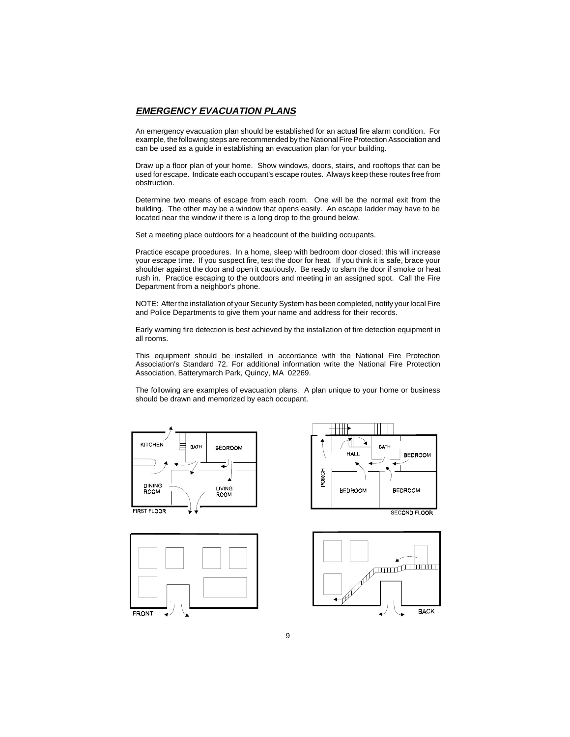#### **EMERGENCY EVACUATION PLANS**

An emergency evacuation plan should be established for an actual fire alarm condition. For example, the following steps are recommended by the National Fire Protection Association and can be used as a guide in establishing an evacuation plan for your building.

Draw up a floor plan of your home. Show windows, doors, stairs, and rooftops that can be used for escape. Indicate each occupant's escape routes. Always keep these routes free from obstruction.

Determine two means of escape from each room. One will be the normal exit from the building. The other may be a window that opens easily. An escape ladder may have to be located near the window if there is a long drop to the ground below.

Set a meeting place outdoors for a headcount of the building occupants.

Practice escape procedures. In a home, sleep with bedroom door closed; this will increase your escape time. If you suspect fire, test the door for heat. If you think it is safe, brace your shoulder against the door and open it cautiously. Be ready to slam the door if smoke or heat rush in. Practice escaping to the outdoors and meeting in an assigned spot. Call the Fire Department from a neighbor's phone.

NOTE: After the installation of your Security System has been completed, notify your local Fire and Police Departments to give them your name and address for their records.

Early warning fire detection is best achieved by the installation of fire detection equipment in all rooms.

This equipment should be installed in accordance with the National Fire Protection Association's Standard 72. For additional information write the National Fire Protection Association, Batterymarch Park, Quincy, MA 02269.

The following are examples of evacuation plans. A plan unique to your home or business should be drawn and memorized by each occupant.